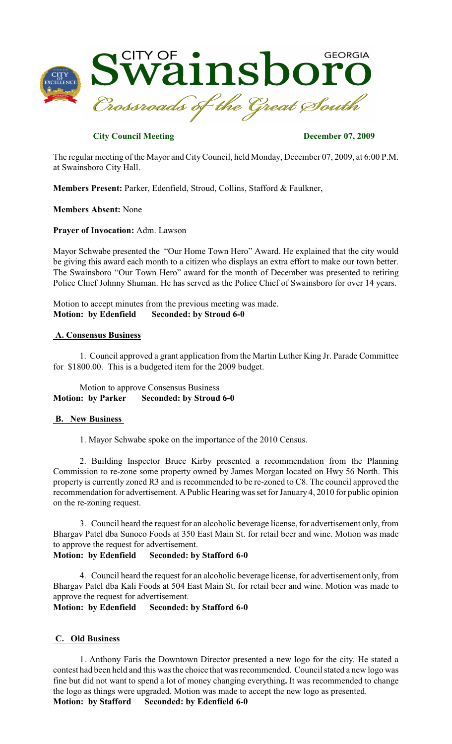

# **City Council Meeting December 07, 2009**

The regular meeting of the Mayor and CityCouncil, held Monday, December 07, 2009, at 6:00 P.M. at Swainsboro City Hall.

**Members Present:** Parker, Edenfield, Stroud, Collins, Stafford & Faulkner,

**Members Absent:** None

**Prayer of Invocation:** Adm. Lawson

Mayor Schwabe presented the "Our Home Town Hero" Award. He explained that the city would be giving this award each month to a citizen who displays an extra effort to make our town better. The Swainsboro "Our Town Hero" award for the month of December was presented to retiring Police Chief Johnny Shuman. He has served as the Police Chief of Swainsboro for over 14 years.

Motion to accept minutes from the previous meeting was made. **Motion: by Edenfield Seconded: by Stroud 6-0**

#### **A. Consensus Business**

1. Council approved a grant application from the Martin Luther King Jr. Parade Committee for \$1800.00. This is a budgeted item for the 2009 budget.

### Motion to approve Consensus Business **Motion: by Parker Seconded: by Stroud 6-0**

### **B. New Business**

1. Mayor Schwabe spoke on the importance of the 2010 Census.

2. Building Inspector Bruce Kirby presented a recommendation from the Planning Commission to re-zone some property owned by James Morgan located on Hwy 56 North. This property is currently zoned R3 and is recommended to be re-zoned to C8. The council approved the recommendation for advertisement. A Public Hearing was set for January 4, 2010 for public opinion on the re-zoning request.

3. Council heard the request for an alcoholic beverage license, for advertisement only, from Bhargav Patel dba Sunoco Foods at 350 East Main St. for retail beer and wine. Motion was made to approve the request for advertisement.

### **Motion: by Edenfield Seconded: by Stafford 6-0**

4. Council heard the request for an alcoholic beverage license, for advertisement only, from Bhargav Patel dba Kali Foods at 504 East Main St. for retail beer and wine. Motion was made to approve the request for advertisement.

**Motion: by Edenfield Seconded: by Stafford 6-0**

### **C. Old Business**

1. Anthony Faris the Downtown Director presented a new logo for the city. He stated a contest had been held and this was the choice that was recommended. Council stated a new logo was fine but did not want to spend a lot of money changing everything**.** It was recommended to change the logo as things were upgraded. Motion was made to accept the new logo as presented.

**Motion: by Stafford Seconded: by Edenfield 6-0**